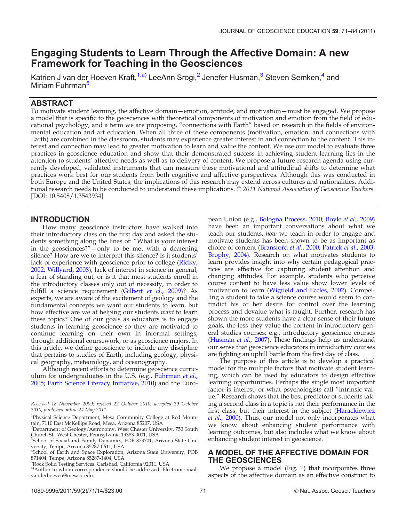# Engaging Students to Learn Through the Affective Domain: A new Framework for Teaching in the Geosciences

Katrien J van der Hoeven Kraft,<sup>1,a)</sup> LeeAnn Srogi,<sup>2</sup> Jenefer Husman,<sup>3</sup> Steven Semken,<sup>4</sup> and Miriam Fuhrman<sup>5</sup>

# ABSTRACT

To motivate student learning, the affective domain—emotion, attitude, and motivation—must be engaged. We propose a model that is specific to the geosciences with theoretical components of motivation and emotion from the field of educational psychology, and a term we are proposing, "connections with Earth" based on research in the fields of environmental education and art education. When all three of these components (motivation, emotion, and connections with Earth) are combined in the classroom, students may experience greater interest in and connection to the content. This interest and connection may lead to greater motivation to learn and value the content. We use our model to evaluate three practices in geoscience education and show that their demonstrated success in achieving student learning lies in the attention to students' affective needs as well as to delivery of content. We propose a future research agenda using currently developed, validated instruments that can measure these motivational and attitudinal shifts to determine what practices work best for our students from both cognitive and affective perspectives. Although this was conducted in both Europe and the United States, the implications of this research may extend across cultures and nationalities. Additional research needs to be conducted to understand these implications. © 2011 National Association of Geoscience Teachers. [DOI: 10.5408/1.3543934]

# INTRODUCTION

How many geoscience instructors have walked into their introductory class on the first day and asked the students something along the lines of: "What is your interest in the geosciences?"—only to be met with a deafening silence? How are we to interpret this silence? Is it students<sup>7</sup> lack of experience with geoscience prior to college ([Ridky,](#page-11-0) [2002](#page-11-0); [Willyard, 2008](#page-12-0)), lack of interest in science in general, a fear of standing out, or is it that most students enroll in the introductory classes only out of necessity, in order to fulfill a science requirement (Gilbert et al[., 2009\)](#page-10-0)? As experts, we are aware of the excitement of geology and the fundamental concepts we want our students to learn, but how effective are we at helping our students want to learn these topics? One of our goals as educators is to engage students in learning geoscience so they are motivated to continue learning on their own in informal settings, through additional coursework, or as geoscience majors. In this article, we define geoscience to include any discipline that pertains to studies of Earth, including geology, physical geography, meteorology, and oceanography.

Although recent efforts to determine geoscience curric-ulum for undergraduates in the U.S. (e.g., [Fuhrman](#page-10-0) et al., [2005](#page-10-0); [Earth Science Literacy Initiative, 2010](#page-10-0)) and the Euro-

 $2$ Department of Geology/Astronomy, West Chester University, 750 South Church St., West Chester, Pennsylvania 19383-0001, USA

5 Rock Solid Testing Services, Carlsbad, California 92011, USA

a)Author to whom correspondence should be addressed. Electronic mail: vanderhoeven@mesacc.edu.

pean Union (e.g., [Bologna Process, 2010;](#page-9-0) Boyle et al[., 2009\)](#page-9-0) have been an important conversations about what we teach our students, how we teach in order to engage and motivate students has been shown to be as important as choice of content ([Bransford](#page-9-0) et al., 2000; [Patrick](#page-11-0) et al., 2003; [Brophy, 2004](#page-9-0)). Research on what motivates students to learn provides insight into why certain pedagogical practices are effective for capturing student attention and changing attitudes. For example, students who perceive course content to have less value show lower levels of motivation to learn ([Wigfield and Eccles, 2002](#page-12-0)). Compelling a student to take a science course would seem to contradict his or her desire for control over the learning process and devalue what is taught. Further, research has shown the more students have a clear sense of their future goals, the less they value the content in introductory general studies courses; e.g., introductory geoscience courses [\(Husman](#page-10-0) et al., 2007). These findings help us understand our sense that geoscience educators in introductory courses are fighting an uphill battle from the first day of class.

The purpose of this article is to develop a practical model for the multiple factors that motivate student learning, which can be used by educators to design effective learning opportunities. Perhaps the single most important factor is interest, or what psychologists call "intrinsic value." Research shows that the best predictor of students taking a second class in a topic is not their performance in the first class, but their interest in the subject ([Harackiewicz](#page-10-0) et al[., 2000](#page-10-0)). Thus, our model not only incorporates what we know about enhancing student performance with learning outcomes, but also includes what we know about enhancing student interest in geoscience.

# A MODEL OF THE AFFECTIVE DOMAIN FOR THE GEOSCIENCES

We propose a model (Fig. [1](#page-1-0)) that incorporates three aspects of the affective domain as an effective construct to

Received 18 November 2009; revised 22 October 2010; accepted 29 October 2010; published online 24 May 2011.

<sup>&</sup>lt;sup>1</sup>Physical Science Department, Mesa Community College at Red Mountain, 7110 East McKellips Road, Mesa, Arizona 85207, USA

<sup>&</sup>lt;sup>3</sup>School of Social and Family Dynamics, POB 873701, Arizona State University, Tempe, Arizona 85287-0611, USA

<sup>4</sup> School of Earth and Space Exploration, Arizona State University, POB 871404, Tempe, Arizona 85287-1404, USA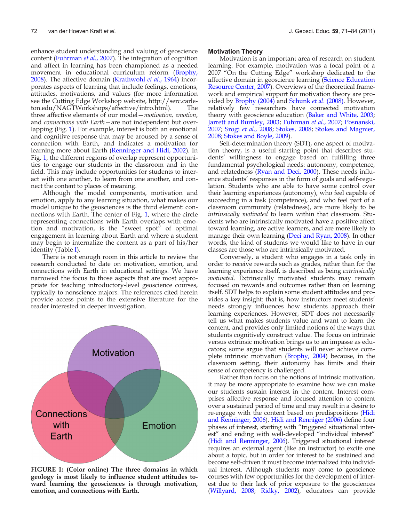<span id="page-1-0"></span>enhance student understanding and valuing of geoscience content ([Fuhrman](#page-10-0) et al., 2007). The integration of cognition and affect in learning has been championed as a needed movement in educational curriculum reform ([Brophy,](#page-9-0) [2008](#page-9-0)). The affective domain ([Krathwohl](#page-11-0) *et al.*, 1964) incorporates aspects of learning that include feelings, emotions, attitudes, motivations, and values (for more information see the Cutting Edge Workshop website, http://serc.carleton.edu/NAGTWorkshops/affective/intro.html). The three affective elements of our model—motivation, emotion, and connections with Earth-are not independent but overlapping (Fig. 1). For example, interest is both an emotional and cognitive response that may be aroused by a sense of connection with Earth, and indicates a motivation for learning more about Earth [\(Renninger and Hidi, 2002\)](#page-11-0). In Fig. 1, the different regions of overlap represent opportunities to engage our students in the classroom and in the field. This may include opportunities for students to interact with one another, to learn from one another, and connect the content to places of meaning.

Although the model components, motivation and emotion, apply to any learning situation, what makes our model unique to the geosciences is the third element: connections with Earth. The center of Fig. 1, where the circle representing connections with Earth overlaps with emotion and motivation, is the "sweet spot" of optimal engagement in learning about Earth and where a student may begin to internalize the content as a part of his/her identity (Table [I](#page-2-0)).

There is not enough room in this article to review the research conducted to date on motivation, emotion, and connections with Earth in educational settings. We have narrowed the focus to those aspects that are most appropriate for teaching introductory-level geoscience courses, typically to nonscience majors. The references cited herein provide access points to the extensive literature for the reader interested in deeper investigation.



FIGURE 1: (Color online) The three domains in which geology is most likely to influence student attitudes toward learning the geosciences is through motivation, emotion, and connections with Earth.

#### Motivation Theory

Motivation is an important area of research on student learning. For example, motivation was a focal point of a 2007 "On the Cutting Edge" workshop dedicated to the affective domain in geoscience learning ([Science Education](#page-12-0) [Resource Center, 2007\)](#page-12-0). Overviews of the theoretical framework and empirical support for motivation theory are pro-vided by [Brophy \(2004\)](#page-9-0) and [Schunk](#page-11-0) et al. (2008). However, relatively few researchers have connected motivation theory with geoscience education [\(Baker and White, 2003;](#page-9-0) [Jarrett and Burnley, 2003;](#page-11-0) [Fuhrman](#page-10-0) et al., 2007; [Posnanski,](#page-11-0) [2007;](#page-11-0) Srogi et al[., 2008;](#page-12-0) [Stokes, 2008;](#page-12-0) [Stokes and Magnier,](#page-12-0) [2008;](#page-12-0) [Stokes and Boyle, 2009\)](#page-12-0).

Self-determination theory (SDT), one aspect of motivation theory, is a useful starting point that describes students' willingness to engage based on fulfilling three fundamental psychological needs: autonomy, competence, and relatedness [\(Ryan and Deci, 2000](#page-11-0)). These needs influence students' responses in the form of goals and self-regulation. Students who are able to have some control over their learning experiences (autonomy), who feel capable of succeeding in a task (competence), and who feel part of a classroom community (relatedness), are more likely to be intrinsically motivated to learn within that classroom. Students who are intrinsically motivated have a positive affect toward learning, are active learners, and are more likely to manage their own learning [\(Deci and Ryan, 2008\)](#page-10-0). In other words, the kind of students we would like to have in our classes are those who are intrinsically motivated.

Conversely, a student who engages in a task only in order to receive rewards such as grades, rather than for the learning experience itself, is described as being extrinsically motivated. Extrinsically motivated students may remain focused on rewards and outcomes rather than on learning itself. SDT helps to explain some student attitudes and provides a key insight: that is, how instructors meet students' needs strongly influences how students approach their learning experiences. However, SDT does not necessarily tell us what makes students value and want to learn the content, and provides only limited notions of the ways that students cognitively construct value. The focus on intrinsic versus extrinsic motivation brings us to an impasse as educators; some argue that students will never achieve complete intrinsic motivation ([Brophy, 2004](#page-9-0)) because, in the classroom setting, their autonomy has limits and their sense of competency is challenged.

Rather than focus on the notions of intrinsic motivation, it may be more appropriate to examine how we can make our students sustain interest in the content. Interest comprises affective response and focused attention to content over a sustained period of time and may result in a desire to re-engage with the content based on predispositions [\(Hidi](#page-10-0) [and Renninger, 2006](#page-10-0)). [Hidi and Renniger \(2006\)](#page-10-0) define four phases of interest, starting with "triggered situational interest" and ending with well-developed "individual interest" [\(Hidi and Renninger, 2006](#page-10-0)). Triggered situational interest requires an external agent (like an instructor) to excite one about a topic, but in order for interest to be sustained and become self-driven it must become internalized into individual interest. Although students may come to geoscience courses with few opportunities for the development of interest due to their lack of prior exposure to the geosciences [\(Willyard, 2008](#page-12-0); [Ridky, 2002](#page-11-0)), educators can provide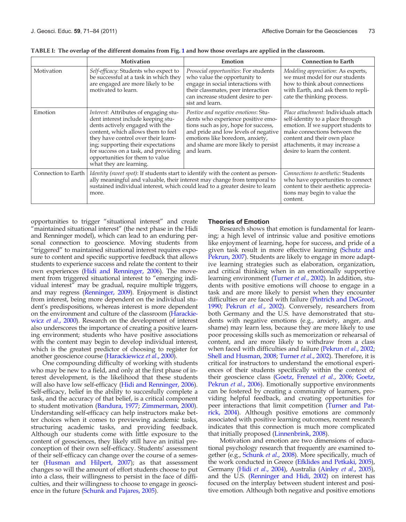|                     | Motivation                                                                                                                                                                                                                                                                                                                              | Emotion                                                                                                                                                                                                                                            | <b>Connection to Earth</b>                                                                                                                                                                                                                      |
|---------------------|-----------------------------------------------------------------------------------------------------------------------------------------------------------------------------------------------------------------------------------------------------------------------------------------------------------------------------------------|----------------------------------------------------------------------------------------------------------------------------------------------------------------------------------------------------------------------------------------------------|-------------------------------------------------------------------------------------------------------------------------------------------------------------------------------------------------------------------------------------------------|
| Motivation          | Self-efficacy: Students who expect to<br>be successful at a task in which they<br>are engaged are more likely to be<br>motivated to learn.                                                                                                                                                                                              | Prosocial opportunities: For students<br>who value the opportunity to<br>engage in social interactions with<br>their classmates, peer interaction<br>can increase student desire to per-<br>sist and learn.                                        | Modeling appreciation: As experts,<br>we must model for our students<br>how to think about connections<br>with Earth, and ask them to repli-<br>cate the thinking process.                                                                      |
| Emotion             | Interest: Attributes of engaging stu-<br>dent interest include keeping stu-<br>dents actively engaged with the<br>content, which allows them to feel<br>they have control over their learn-<br>ing; supporting their expectations<br>for success on a task, and providing<br>opportunities for them to value<br>what they are learning. | Postive and negative emotions: Stu-<br>dents who experience positive emo-<br>tions such as joy, hope for success,<br>and pride and low levels of negative<br>emotions like boredom, anxiety,<br>and shame are more likely to persist<br>and learn. | Place attachment: Individuals attach<br>self-identity to a place through<br>emotion. If we support students to<br>make connections between the<br>content and their own place<br>attachments, it may increase a<br>desire to learn the content. |
| Connection to Earth | <i>Identity (sweet spot)</i> : If students start to identify with the content as person-<br>ally meaningful and valuable, their interest may change from temporal to<br>sustained individual interest, which could lead to a greater desire to learn<br>more.                                                                           |                                                                                                                                                                                                                                                    | Connections to aesthetic: Students<br>who have opportunities to connect<br>content to their aesthetic apprecia-<br>tions may begin to value the<br>content.                                                                                     |

<span id="page-2-0"></span>TABLE I: The overlap of the different domains from Fig. [1](#page-1-0) and how those overlaps are applied in the classroom.

opportunities to trigger "situational interest" and create "maintained situational interest" (the next phase in the Hidi and Renninger model), which can lead to an enduring personal connection to geoscience. Moving students from "triggered" to maintained situational interest requires exposure to content and specific supportive feedback that allows students to experience success and relate the content to their own experiences [\(Hidi and Renninger, 2006\)](#page-10-0). The movement from triggered situational interest to "emerging individual interest" may be gradual, require multiple triggers, and may regress [\(Renninger, 2009](#page-11-0)). Enjoyment is distinct from interest, being more dependent on the individual student's predispositions, whereas interest is more dependent on the environment and culture of the classroom [\(Harackie](#page-10-0)wicz *et al.*, 2000). Research on the development of interest also underscores the importance of creating a positive learning environment; students who have positive associations with the content may begin to develop individual interest, which is the greatest predictor of choosing to register for another geoscience course [\(Harackiewicz](#page-10-0) et al., 2000).

One compounding difficulty of working with students who may be new to a field, and only at the first phase of interest development, is the likelihood that these students will also have low self-efficacy [\(Hidi and Renninger, 2006](#page-10-0)). Self-efficacy, belief in the ability to succesfully complete a task, and the accuracy of that belief, is a critical component to student motivation [\(Bandura, 1977;](#page-9-0) [Zimmerman, 2000](#page-13-0)). Understanding self-efficacy can help instructors make better choices when it comes to previewing academic tasks, structuring academic tasks, and providing feedback. Although our students come with little exposure to the content of geosciences, they likely still have an initial preconception of their own self-efficacy. Students' assessment of their self-efficacy can change over the course of a semester ([Husman and Hilpert, 2007\)](#page-10-0); as that assessment changes so will the amount of effort students choose to put into a class, their willingness to persist in the face of difficulties, and their willingness to choose to engage in geoscience in the future ([Schunk and Pajares, 2005](#page-11-0)).

## Theories of Emotion

Research shows that emotion is fundamental for learning; a high level of intrinsic value and positive emotions like enjoyment of learning, hope for success, and pride of a given task result in more effective learning ([Schutz and](#page-11-0) [Pekrun, 2007\)](#page-11-0). Students are likely to engage in more adaptive learning strategies such as elaboration, organization, and critical thinking when in an emotionally supportive learning environment [\(Turner](#page-12-0) et al., 2002). In addition, students with positive emotions will choose to engage in a task and are more likely to persist when they encounter difficulties or are faced with failure [\(Pintrich and DeGroot,](#page-11-0) [1990;](#page-11-0) [Pekrun](#page-11-0) et al., 2002). Conversely, researchers from both Germany and the U.S. have demonstrated that students with negative emotions (e.g., anxiety, anger, and shame) may learn less, because they are more likely to use poor processing skills such as memorization or rehearsal of content, and are more likely to withdraw from a class when faced with difficulties and failure ([Pekrun](#page-11-0) et al., 2002; [Shell and Husman, 2008;](#page-12-0) [Turner](#page-12-0) *et al.*, 2002). Therefore, it is critical for instructors to understand the emotional experiences of their students specifically within the context of their geoscience class ([Goetz, Frenzel](#page-10-0) et al., 2006; [Goetz,](#page-10-0) [Pekrun](#page-10-0) *et al.*, 2006). Emotionally supportive environments can be fostered by creating a community of learners, providing helpful feedback, and creating opportunities for peer interactions that limit competition ([Turner and Pat](#page-12-0)[rick, 2004](#page-12-0)). Although positive emotions are commonly associated with positive learning outcomes, recent research indicates that this connection is much more complicated that initially proposed ([Linnenbrink, 2008](#page-11-0)).

Motivation and emotion are two dimensions of educational psychology research that frequently are examined to-gether (e.g., [Schunk](#page-11-0) et al., 2008). More specifically, much of the work conducted in Greece [\(Efklides and Petkaki, 2005](#page-10-0)), Germany (Hidi et al[., 2004\)](#page-10-0), Australia [\(Ainley](#page-9-0) et al., 2005), and the U.S. ([Renninger and Hidi, 2002](#page-11-0)) on interest has focused on the interplay between student interest and positive emotion. Although both negative and positive emotions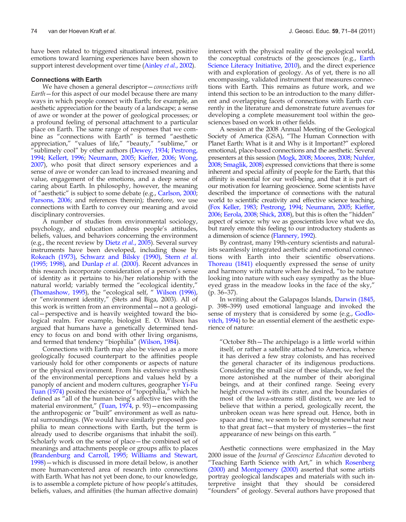have been related to triggered situational interest, positive emotions toward learning experiences have been shown to support interest development over time [\(Ainley](#page-9-0) *et al.*, 2002).

#### Connections with Earth

We have chosen a general descriptor - connections with Earth—for this aspect of our model because there are many ways in which people connect with Earth; for example, an aesthetic appreciation for the beauty of a landscape; a sense of awe or wonder at the power of geological processes; or a profound feeling of personal attachment to a particular place on Earth. The same range of responses that we combine as "connections with Earth" is termed "aesthetic appreciation," "values of life," "beauty," "sublime," or "sublimely cool" by other authors [\(Dewey, 1934;](#page-10-0) [Pestrong,](#page-11-0) [1994](#page-11-0); [Kellert, 1996;](#page-11-0) [Neumann, 2005](#page-11-0); [Kieffer, 2006](#page-11-0); [Wong,](#page-13-0) [2007](#page-13-0)), who posit that direct sensory experiences and a sense of awe or wonder can lead to increased meaning and value, engagement of the emotions, and a deep sense of caring about Earth. In philosophy, however, the meaning of "aesthetic" is subject to some debate (e.g., [Carlson, 2000](#page-9-0); [Parsons, 2006](#page-11-0); and references therein); therefore, we use connections with Earth to convey our meaning and avoid disciplinary controversies.

A number of studies from environmental sociology, psychology, and education address people's attitudes, beliefs, values, and behaviors concerning the environment (e.g., the recent review by Dietz *et al.*, 2005). Several survey instruments have been developed, including those by [Rokeach \(1973\)](#page-11-0), [Schwarz and Bilsky \(1990\),](#page-12-0) Stern et al.  $(1995; 1998)$ , and [Dunlap](#page-10-0) et al.  $(2000)$ . Recent advances in this research incorporate consideration of a person's sense of identity as it pertains to his/her relationship with the natural world; variably termed the "ecological identity," [\(Thomashow, 1995](#page-12-0)), the "ecological self, " [Wilson \(1996\)](#page-13-0), or "environment identity," (Stets and Biga, 2003). All of this work is written from an environmental—not a geological—perspective and is heavily weighted toward the biological realm. For example, biologist E. O. Wilson has argued that humans have a genetically determined tendency to focus on and bond with other living organisms, and termed that tendency "biophilia" ([Wilson, 1984\)](#page-12-0).

Connections with Earth may also be viewed as a more geologically focused counterpart to the affinities people variously hold for other components or aspects of nature or the physical environment. From his extensive synthesis of the environmental perceptions and values held by a panoply of ancient and modern cultures, geographer [Yi-Fu](#page-12-0) [Tuan \(1974\)](#page-12-0) posited the existence of "topophilia," which he defined as "all of the human being's affective ties with the material environment," (Tuan,  $1974$ , p. 93) – encompassing the anthropogenic or "built" environment as well as natural surroundings. (We would have similarly proposed geophilia to mean connections with Earth, but the term is already used to describe organisms that inhabit the soil). Scholarly work on the sense of place—the combined set of meanings and attachments people or groups affix to places [\(Brandenburg and Carroll, 1995;](#page-9-0) [Williams and Stewart,](#page-12-0) [1998](#page-12-0))—which is discussed in more detail below, is another more human-centered area of research into connections with Earth. What has not yet been done, to our knowledge, is to assemble a complete picture of how people's attitudes, beliefs, values, and affinities (the human affective domain)

intersect with the physical reality of the geological world, the conceptual constructs of the geosciences (e.g., [Earth](#page-10-0) [Science Literacy Initiative, 2010\)](#page-10-0), and the direct experience with and exploration of geology. As of yet, there is no all encompassing, validated instrument that measures connections with Earth. This remains as future work, and we intend this section to be an introduction to the many different and overlapping facets of connections with Earth currently in the literature and demonstrate future avenues for developing a complete measurement tool within the geosciences based on work in other fields.

A session at the 2008 Annual Meeting of the Geological Society of America (GSA), "The Human Connection with Planet Earth: What is it and Why is it Important?" explored emotional, place-based connections and the aesthetic. Several presenters at this session [\(Mogk, 2008;](#page-11-0) [Moores, 2008;](#page-11-0) [Nuhfer,](#page-11-0) [2008](#page-11-0); [Smaglik, 2008](#page-12-0)) expressed convictions that there is some inherent and special affinity of people for the Earth, that this affinity is essential for our well-being, and that it is part of our motivation for learning geoscience. Some scientists have described the importance of connections with the natural world to scientific creativity and effective science teaching, [\(Fox Keller, 1983;](#page-10-0) [Pestrong, 1994;](#page-11-0) [Neumann, 2005](#page-11-0); [Kieffer,](#page-11-0) [2006](#page-11-0); [Eerola, 2008](#page-10-0); [Shick, 2008](#page-12-0)), but this is often the "hidden" aspect of science: why we as geoscientists love what we do, but rarely emote this feeling to our introductory students as a dimension of science [\(Flannery, 1992\)](#page-10-0).

By contrast, many 19th-century scientists and naturalists seamlessly integrated aesthetic and emotional connections with Earth into their scientific observations. [Thoreau \(1841\)](#page-12-0) eloquently expressed the sense of unity and harmony with nature when he desired, "to be nature looking into nature with such easy sympathy as the blueeyed grass in the meadow looks in the face of the sky," (p. 36–37).

In writing about the Galapagos Islands, [Darwin \(1845](#page-10-0), p. 398–399) used emotional language and invoked the sense of mystery that is considered by some (e.g., [Godlo](#page-10-0)[vitch, 1994\)](#page-10-0) to be an essential element of the aesthetic experience of nature:

"October 8th—The archipelago is a little world within itself, or rather a satellite attached to America, whence it has derived a few stray colonists, and has received the general character of its indigenous productions. Considering the small size of these islands, we feel the more astonished at the number of their aboriginal beings, and at their confined range. Seeing every height crowned with its crater, and the boundaries of most of the lava-streams still distinct, we are led to believe that within a period, geologically recent, the unbroken ocean was here spread out. Hence, both in space and time, we seem to be brought somewhat near to that great fact—that mystery of mysteries—the first appearance of new beings on this earth. "

Aesthetic connections were emphasized in the May 2000 issue of the Journal of Geoscience Education devoted to "Teaching Earth Science with Art," in which <mark>[Rosenberg](#page-11-0)</mark> [\(2000\)](#page-11-0) and [Montgomery \(2000\)](#page-11-0) asserted that some artists portray geological landscapes and materials with such interpretive insight that they should be considered "founders" of geology. Several authors have proposed that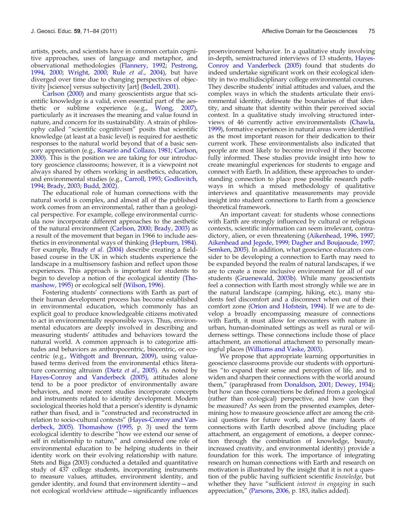artists, poets, and scientists have in common certain cognitive approaches, uses of language and metaphor, and observational methodologies ([Flannery, 1992;](#page-10-0) Pestrong, 1994, 2000; [Wright, 2000;](#page-13-0) Rule *et al.,* 2004), but have diverged over time due to changing perspectives of objec-tivity [science] versus subjectivity [art] ([Bedell, 2001\)](#page-9-0).

[Carlson \(2000\)](#page-9-0) and many geoscientists argue that scientific knowledge is a valid, even essential part of the aesthetic or sublime experience (e.g., [Wong, 2007](#page-13-0)), particularly as it increases the meaning and value found in nature, and concern for its sustainability. A strain of philosophy called "scientific cognitivism" posits that scientific knowledge (at least at a basic level) is required for aesthetic responses to the natural world beyond that of a basic sensory appreciation (e.g., [Rosario and Collazo, 1981](#page-11-0); [Carlson,](#page-9-0) [2000](#page-9-0)). This is the position we are taking for our introductory geoscience classrooms; however, it is a viewpoint not always shared by others working in aesthetics, education, and environmental studies (e.g., [Carroll, 1993;](#page-9-0) [Godlovitch,](#page-10-0) [1994](#page-10-0); [Brady, 2003;](#page-9-0) [Budd, 2002\)](#page-9-0).

The educational role of human connections with the natural world is complex, and almost all of the published work comes from an environmental, rather than a geological perspective. For example, college environmental curricula now incorporate different approaches to the aesthetic of the natural environment ([Carlson, 2000;](#page-9-0) [Brady, 2003](#page-9-0)) as a result of the movement that began in 1966 to include aesthetics in environmental ways of thinking [\(Hepburn, 1984](#page-10-0)). For example, Brady *et al.* (2004) describe creating a fieldbased course in the UK in which students experience the landscape in a multisensory fashion and reflect upon those experiences. This approach is important for students to begin to develop a notion of the ecological identity ([Tho](#page-12-0)[mashow, 1995](#page-12-0)) or ecological self [\(Wilson, 1996](#page-13-0)).

Fostering students' connections with Earth as part of their human development process has become established in environmental education, which commonly has an explicit goal to produce knowledgeable citizens motivated to act in environmentally responsible ways. Thus, environmental educators are deeply involved in describing and measuring students' attitudes and behaviors toward the natural world. A common approach is to categorize attitudes and behaviors as anthropocentric, biocentric, or ecocentric (e.g., [Withgott and Brennan, 2009\),](#page-13-0) using valuebased terms derived from the environmental ethics litera-ture concerning altruism (Dietz et al[., 2005\)](#page-10-0). As noted by [Hayes-Conroy and Vanderbeck \(2005\),](#page-10-0) attitudes alone tend to be a poor predictor of environmentally aware behaviors, and more recent studies incorporate concepts and instruments related to identity development. Modern sociological theories hold that a person's identity is dynamic rather than fixed, and is "constructed and reconstructed in relation to socio-cultural contexts" [\(Hayes-Conroy and Van](#page-10-0)[derbeck, 2005](#page-10-0)). [Thomashow \(1995](#page-12-0), p. 3) used the term ecological identity to describe "how we extend our sense of self in relationship to nature," and considered one role of environmental education to be helping students in their identity work on their evolving relationship with nature. Stets and Biga (2003) conducted a detailed and quantitative study of 437 college students, incorporating instruments to measure values, attitudes, environment identity, and gender identity, and found that environment identity—and not ecological worldview attitude—significantly influences

proenvironment behavior. In a qualitative study involving in-depth, semistructured interviews of 13 students, [Hayes-](#page-10-0)[Conroy and Vanderbeck \(2005\)](#page-10-0) found that students do indeed undertake significant work on their ecological identity in two multidisciplinary college environmental courses. They describe students' initial attitudes and values, and the complex ways in which the students articulate their environmental identity, delineate the boundaries of that identity, and situate that identity within their perceived social context. In a qualitative study involving structured interviews of 46 currently active environmentalists [\(Chawla,](#page-9-0) [1999\)](#page-9-0), formative experiences in natural areas were identified as the most important reason for their dedication to their current work. These environmentalists also indicated that people are most likely to become involved if they become fully informed. These studies provide insight into how to create meaningful experiences for students to engage and connect with Earth. In addition, these approaches to understanding connection to place pose possible research pathways in which a mixed methodology of qualitative interviews and quantitative measurements may provide insight into student connections to Earth from a geoscience theoretical framework.

An important caveat: for students whose connections with Earth are strongly influenced by cultural or religious contexts, scientific information can seem irrelevant, contradictory, alien, or even threatening (Aikenhead, 1996, 1997; [Aikenhead and Jegede, 1999](#page-9-0); [Dagher and Boujaoude, 1997;](#page-10-0) [Semken, 2005\)](#page-12-0). In addition, what geoscience educators consider to be developing a connection to Earth may need to be expanded beyond the realm of natural landscapes, if we are to create a more inclusive environment for all of our students [\(Gruenewald, 2003b\)](#page-10-0). While many geoscientists feel a connection with Earth most strongly while we are in the natural landscape (camping, hiking, etc.), many students feel discomfort and a disconnect when out of their comfort zone ([Orion and Hofstein, 1994](#page-11-0)). If we are to develop a broadly encompassing measure of connections with Earth, it must allow for encounters with nature in urban, human-dominated settings as well as rural or wilderness settings. These connections include those of place attachment, an emotional attachment to personally meaningful places [\(Williams and Vaske, 2003\)](#page-12-0).

We propose that appropriate learning opportunities in geoscience classrooms provide our students with opportunities "to expand their sense and perception of life, and to widen and sharpen their connections with the world around them," (paraphrased from [Donaldson, 2001](#page-10-0); [Dewey, 1934](#page-10-0)); but how can those connections be defined from a geological (rather than ecological) perspective, and how can they be measured? As seen from the presented examples, determining how to measure geoscience affect are among the critical questions for future work, and the many facets of connections with Earth described above (including place attachment, an engagement of emotions, a deeper connection through the combination of knowledge, beauty, increased creativity, and environmental identity) provide a foundation for this work. The importance of integrating research on human connections with Earth and research on motivation is illustrated by the insight that it is not a question of the public having sufficient scientific knowledge, but whether they have "sufficient *interest in engaging* in such appreciation," ([Parsons, 2006,](#page-11-0) p. 183, italics added).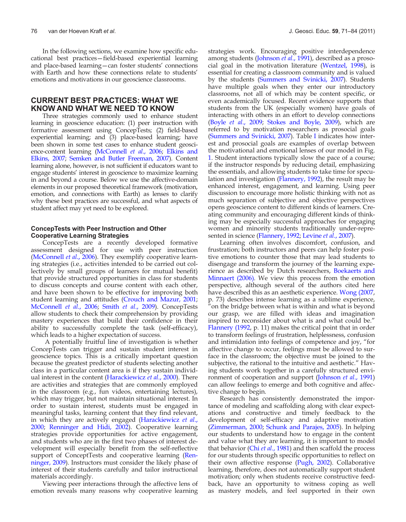In the following sections, we examine how specific educational best practices—field-based experiential learning and place-based learning—can foster students' connections with Earth and how these connections relate to students' emotions and motivations in our geoscience classrooms.

## CURRENT BEST PRACTICES: WHAT WE KNOW AND WHAT WE NEED TO KNOW

Three strategies commonly used to enhance student learning in geoscience education: (1) peer instruction with formative assessment using ConcepTests; (2) field-based experiential learning; and (3) place-based learning; have been shown in some test cases to enhance student geoscience-content learning [\(McConnell](#page-11-0) et al., 2006; [Elkins and](#page-10-0) [Elkins, 2007;](#page-10-0) [Semken and Butler Freeman, 2007](#page-12-0)). Content learning alone, however, is not sufficient if educators want to engage students' interest in geoscience to maximize learning in and beyond a course. Below we use the affective-domain elements in our proposed theoretical framework (motivation, emotion, and connections with Earth) as lenses to clarify why these best practices are successful, and what aspects of student affect may yet need to be explored.

## ConcepTests with Peer Instruction and Other Cooperative Learning Strategies

ConcepTests are a recently developed formative assessment designed for use with peer instruction [\(McConnell](#page-11-0) *et al.,* 2006). They exemplify cooperative learning strategies (i.e., activities intended to be carried out collectively by small groups of learners for mutual benefit) that provide structured opportunities in class for students to discuss concepts and course content with each other, and have been shown to be effective for improving both student learning and attitudes ([Crouch and Mazur, 2001](#page-10-0); [McConnell](#page-11-0) et al., 2006; Smith et al[., 2009](#page-12-0)). ConcepTests allow students to check their comprehension by providing mastery experiences that build their confidence in their ability to successfully complete the task (self-efficacy), which leads to a higher expectation of success.

A potentially fruitful line of investigation is whether ConcepTests can trigger and sustain student interest in geoscience topics. This is a critically important question because the greatest predictor of students selecting another class in a particular content area is if they sustain individ-ual interest in the content ([Harackiewicz](#page-10-0) et al., 2000). There are activities and strategies that are commonly employed in the classroom (e.g., fun videos, entertaining lectures), which may trigger, but not maintain situational interest. In order to sustain interest, students must be engaged in meaningful tasks, learning content that they find relevant, in which they are actively engaged [\(Harackiewicz](#page-10-0) et al., [2000](#page-10-0); [Renninger and Hidi, 2002](#page-11-0)). Cooperative learning strategies provide opportunities for active engagement, and students who are in the first two phases of interest development will especially benefit from the self-reflective support of ConceptTests and cooperative learning ([Ren](#page-11-0)[ninger, 2009\)](#page-11-0). Instructors must consider the likely phase of interest of their students carefully and tailor instructional materials accordingly.

Viewing peer interactions through the affective lens of emotion reveals many reasons why cooperative learning

strategies work. Encouraging positive interdependence among students ([Johnson](#page-11-0) et al., 1991), described as a prosocial goal in the motivation literature ([Wentzel, 1998](#page-12-0)), is essential for creating a classroom community and is valued by the students [\(Summers and Svinicki, 2007](#page-12-0)). Students have multiple goals when they enter our introductory classrooms, not all of which may be content specific, or even academically focused. Recent evidence supports that students from the UK (especially women) have goals of interacting with others in an effort to develop connections (Boyle et al[., 2009;](#page-9-0) [Stokes and Boyle, 2009](#page-12-0)), which are referred to by motivation researchers as prosocial goals [\(Summers and Svinicki, 2007](#page-12-0)). Table [I](#page-2-0) indicates how interest and prosocial goals are examples of overlap between the motivational and emotional lenses of our model in Fig. [1.](#page-1-0) Student interactions typically slow the pace of a course; if the instructor responds by reducing detail, emphasizing the essentials, and allowing students to take time for speculation and investigation [\(Flannery, 1992](#page-10-0)), the result may be enhanced interest, engagement, and learning. Using peer discussion to encourage more holistic thinking with not as much separation of subjective and objective perspectives opens geoscience content to different kinds of learners. Creating community and encouraging different kinds of thinking may be especially successful approaches for engaging women and minority students traditionally under-repre-sented in science [\(Flannery, 1992;](#page-10-0) [Levine](#page-11-0) et al., 2007).

Learning often involves discomfort, confusion, and frustration; both instructors and peers can help foster positive emotions to counter those that may lead students to disengage and transform the journey of the learning experience as described by Dutch researchers, [Boekaerts and](#page-9-0) [Minnaert \(2006\)](#page-9-0). We view this process from the emotion perspective, although several of the authors cited here have described this as an aesthetic experience. [Wong \(2007,](#page-13-0) p. 73) describes intense learning as a sublime experience, "on the bridge between what is within and what is beyond our grasp, we are filled with ideas and imagination inspired to reconsider about what is and what could be." [Flannery \(1992](#page-10-0), p. 11) makes the critical point that in order to transform feelings of frustration, helplessness, confusion and intimidation into feelings of competence and joy, "for affective change to occur, feelings must be allowed to surface in the classroom; the objective must be joined to the subjective, the rational to the intuitive and aesthetic." Having students work together in a carefully structured envi-ronment of cooperation and support [\(Johnson](#page-11-0) et al., 1991) can allow feelings to emerge and both cognitive and affective change to begin.

Research has consistently demonstrated the importance of modeling and scaffolding along with clear expectations and constructive and timely feedback to the development of self-efficacy and adaptive motivation [\(Zimmerman, 2000](#page-13-0); [Schunk and Parajes, 2005\)](#page-11-0). In helping our students to understand how to engage in the content and value what they are learning, it is important to model that behavior (Chi *et al.*, 1981) and then scaffold the process for our students through specific opportunities to reflect on their own affective response [\(Pugh, 2002\)](#page-11-0). Collaborative learning, therefore, does not automatically support student motivation; only when students receive constructive feedback, have an opportunity to witness coping as well as mastery models, and feel supported in their own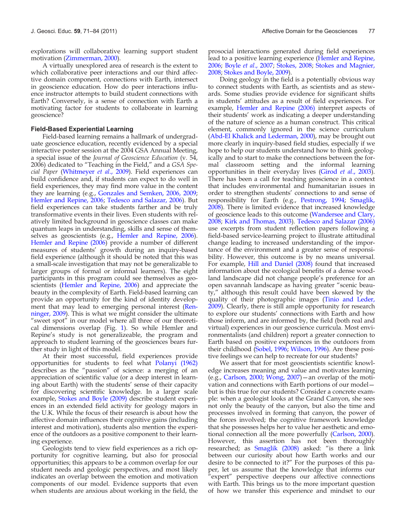explorations will collaborative learning support student motivation ([Zimmerman, 2000\)](#page-13-0).

A virtually unexplored area of research is the extent to which collaborative peer interactions and our third affective domain component, connections with Earth, intersect in geoscience education. How do peer interactions influence instructor attempts to build student connections with Earth? Conversely, is a sense of connection with Earth a motivating factor for students to collaborate in learning geoscience?

## Field-Based Experiential Learning

Field-based learning remains a hallmark of undergraduate geoscience education, recently evidenced by a special interactive poster session at the 2004 GSA Annual Meeting, a special issue of the Journal of Geoscience Education (v. 54, 2006) dedicated to "Teaching in the Field," and a GSA Special Paper [\(Whitmeyer](#page-12-0) et al., 2009). Field experiences can build confidence and, if students can expect to do well in field experiences, they may find more value in the content they are learning (e.g., Gonzales and Semken, 2006, 2009; [Hemler and Repine, 2006;](#page-10-0) [Tedesco and Salazar, 2006\)](#page-12-0). But field experiences can take students farther and be truly transformative events in their lives. Even students with relatively limited background in geoscience classes can make quantum leaps in understanding, skills and sense of themselves as geoscientists (e.g., [Hemler and Repine, 2006](#page-10-0)). [Hemler and Repine \(2006\)](#page-10-0) provide a number of different measures of students' growth during an inquiry-based field experience (although it should be noted that this was a small-scale investigation that may not be generalizable to larger groups of formal or informal learners). The eight participants in this program could see themselves as geoscientists ([Hemler and Repine, 2006](#page-10-0)) and appreciate the beauty in the complexity of Earth. Field-based learning can provide an opportunity for the kind of identity develop-ment that may lead to emerging personal interest ([Ren](#page-11-0)[ninger, 2009\)](#page-11-0). This is what we might consider the ultimate "sweet spot" in our model where all three of our theoretical dimensions overlap (Fig. [1](#page-1-0)). So while Hemler and Repine's study is not generalizeable, the program and approach to student learning of the geosciences bears further study in light of this model.

At their most successful, field experiences provide opportunities for students to feel what [Polanyi \(1962\)](#page-11-0) describes as the "passion" of science: a merging of an appreciation of scientific value (or a deep interest in learning about Earth) with the students' sense of their capacity for discovering scientific knowledge. In a larger scale example, [Stokes and Boyle \(2009\)](#page-12-0) describe student experiences in an extended field activity for geology majors in the U.K. While the focus of their research is about how the affective domain influences their cognitive gains (including interest and motivation), students also mention the experience of the outdoors as a positive component to their learning experience.

Geologists tend to view field experiences as a rich opportunity for cognitive learning, but also for prosocial opportunities; this appears to be a common overlap for our student needs and geologic perspectives, and most likely indicates an overlap between the emotion and motivation components of our model. Evidence supports that even when students are anxious about working in the field, the

prosocial interactions generated during field experiences lead to a positive learning experience [\(Hemler and Repine,](#page-10-0) [2006;](#page-10-0) Boyle et al[., 2007;](#page-9-0) [Stokes, 2008](#page-12-0); [Stokes and Magnier,](#page-12-0) [2008;](#page-12-0) [Stokes and Boyle, 2009\)](#page-12-0).

Doing geology in the field is a potentially obvious way to connect students with Earth, as scientists and as stewards. Some studies provide evidence for significant shifts in students' attitudes as a result of field experiences. For example, [Hemler and Repine \(2006\)](#page-10-0) interpret aspects of their students' work as indicating a deeper understanding of the nature of science as a human construct. This critical element, commonly ignored in the science curriculum [\(Abd-El Khalick and Lederman, 2000](#page-9-0)), may be brought out more clearly in inquiry-based field studies, especially if we hope to help our students understand how to think geologically and to start to make the connections between the formal classroom setting and the informal learning opportunities in their everyday lives (Girod et al[., 2003](#page-10-0)). There has been a call for teaching geoscience in a context that includes environmental and humanitarian issues in order to strengthen students' connections to and sense of responsibility for Earth (e.g., [Pestrong, 1994;](#page-11-0) [Smaglik,](#page-12-0) [2008\)](#page-12-0). There is limited evidence that increased knowledge of geoscience leads to this outcome ([Wandersee and Clary,](#page-12-0) [2008;](#page-12-0) [Kirk and Thomas, 2003](#page-11-0)). [Tedesco and Salazar \(2006\)](#page-12-0) use excerpts from student reflection papers following a field-based service-learning project to illustrate attitudinal change leading to increased understanding of the importance of the environment and a greater sense of responsibility. However, this outcome is by no means universal. For example, [Hill and Daniel \(2008\)](#page-10-0) found that increased information about the ecological benefits of a dense woodland landscape did not change people's preference for an open savannah landscape as having greater "scenic beauty," although this result could have been skewed by the quality of their photographic images ([Tinio and Leder,](#page-12-0) [2009\)](#page-12-0). Clearly, there is still ample opportunity for research to explore our students' connections with Earth and how those inform, and are informed by, the field (both real and virtual) experiences in our geoscience curricula. Most environmentalists (and children) report a greater connection to Earth based on positive experiences in the outdoors from their childhood ([Sobel, 1996;](#page-12-0) [Wilson, 1996](#page-13-0)). Are these positive feelings we can help to recreate for our students?

We assert that for most geoscientists scientific knowledge increases meaning and value and motivates learning (e.g., [Carlson, 2000](#page-9-0); [Wong, 2007\)](#page-13-0)—an overlap of the motivation and connections with Earth portions of our model but is this true for our students? Consider a concrete example: when a geologist looks at the Grand Canyon, she sees not only the beauty of the canyon, but also the time and processes involved in forming that canyon, the power of the forces involved; the cognitive framework knowledge that she possesses helps her to value her aesthetic and emotional connection all the more powerfully [\(Carlson, 2000](#page-9-0)). However, this assertion has not been thoroughly researched; as [Smaglik \(2008\)](#page-12-0) asked: "is there a link between our curiosity about how Earth works and our desire to be connected to it?" For the purposes of this paper, let us assume that the knowledge that informs our 'expert" perspective deepens our affective connections with Earth. This brings us to the more important question of how we transfer this experience and mindset to our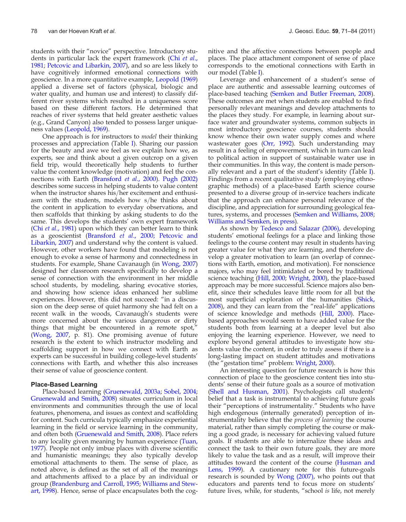students with their "novice" perspective. Introductory students in particular lack the expert framework (Chi [et al](#page-9-0)., [1981](#page-9-0); [Petcovic and Libarkin, 2007](#page-11-0)), and so are less likely to have cognitively informed emotional connections with geoscience. In a more quantitative example, [Leopold \(1969\)](#page-11-0) applied a diverse set of factors (physical, biologic and water quality, and human use and interest) to classify different river systems which resulted in a uniqueness score based on these different factors. He determined that reaches of river systems that held greater aesthetic values (e.g., Grand Canyon) also tended to possess larger uniqueness values [\(Leopold, 1969\)](#page-10-0).

One approach is for instructors to *model* their thinking processes and appreciation (Table [I](#page-2-0)). Sharing our passion for the beauty and awe we feel as we explain how we, as experts, see and think about a given outcrop on a given field trip, would theoretically help students to further value the content knowledge (motivation) and feel the con-nections with Earth ([Bransford](#page-9-0) et al., 2000). [Pugh \(2002\)](#page-11-0) describes some success in helping students to value content when the instructor shares his/her excitement and enthusiasm with the students, models how  $s/he$  thinks about the content in application to everyday observations, and then scaffolds that thinking by asking students to do the same. This develops the students' own expert framework (Chi et al[., 1981](#page-9-0)) upon which they can better learn to think as a geoscientist (Bransford et al., 2000; Petcovic and Libarkin, 2007) and understand why the content is valued. However, other workers have found that modeling is not enough to evoke a sense of harmony and connectedness in students. For example, Shane Cavanaugh (in [Wong, 2007\)](#page-13-0) designed her classroom research specifically to develop a sense of connection with the environment in her middle school students, by modeling, sharing evocative stories, and showing how science ideas enhanced her sublime experiences. However, this did not succeed: "in a discussion on the deep sense of quiet harmony she had felt on a recent walk in the woods, Cavanaugh's students were more concerned about the various dangerous or dirty things that might be encountered in a remote spot," [\(Wong, 2007,](#page-13-0) p. 81). One promising avenue of future research is the extent to which instructor modeling and scaffolding support in how we connect with Earth as experts can be successful in building college-level students' connections with Earth, and whether this also increases their sense of value of geoscience content.

## Place-Based Learning

Place-based learning ([Gruenewald, 2003a](#page-10-0); [Sobel, 2004](#page-12-0); [Gruenewald and Smith, 2008\)](#page-10-0) situates curriculum in local environments and communities through the use of local features, phenomena, and issues as context and scaffolding for content. Such curricula typically emphasize experiential learning in the field or service learning in the community, and often both [\(Gruenewald and Smith, 2008\)](#page-10-0). Place refers to any locality given meaning by human experience ([Tuan,](#page-12-0) [1977](#page-12-0)). People not only imbue places with diverse scientific and humanistic meanings; they also typically develop emotional attachments to them. The sense of place, as noted above, is defined as the set of all of the meanings and attachments affixed to a place by an individual or group [\(Brandenburg and Carroll, 1995](#page-9-0); [Williams and Stew](#page-12-0)[art, 1998](#page-12-0)). Hence, sense of place encapsulates both the cognitive and the affective connections between people and places. The place attachment component of sense of place corresponds to the emotional connections with Earth in our model (Table [I](#page-2-0)).

Leverage and enhancement of a student's sense of place are authentic and assessable learning outcomes of place-based teaching [\(Semken and Butler Freeman, 2008](#page-12-0)). These outcomes are met when students are enabled to find personally relevant meanings and develop attachments to the places they study. For example, in learning about surface water and groundwater systems, common subjects in most introductory geoscience courses, students should know whence their own water supply comes and where wastewater goes ([Orr, 1992\)](#page-11-0). Such understanding may result in a feeling of empowerment, which in turn can lead to political action in support of sustainable water use in their communities. In this way, the content is made personally relevant and a part of the student's identity (Table [I](#page-2-0)). Findings from a recent qualitative study (employing ethnographic methods) of a place-based Earth science course presented to a diverse group of in-service teachers indicate that the approach can enhance personal relevance of the discipline, and appreciation for surrounding geological features, systems, and processes ([Semken and Williams, 2008;](#page-12-0) [Williams and Semken, in press\)](#page-12-0).

As shown by [Tedesco and Salazar \(2006\)](#page-12-0), developing students' emotional feelings for a place and linking those feelings to the course content may result in students having greater value for what they are learning, and therefore develop a greater motivation to learn (an overlap of connections with Earth, emotion, and motivation). For nonscience majors, who may feel intimidated or bored by traditional science teaching [\(Hill, 2000;](#page-10-0) [Wright, 2000\)](#page-13-0), the place-based approach may be more successful. Science majors also benefit, since their schedules leave little room for all but the most superficial exploration of the humanities ([Shick,](#page-12-0) [2008\)](#page-12-0), and they can learn from the "real-life" applications of science knowledge and methods [\(Hill, 2000](#page-10-0)). Placebased approaches would seem to have added value for the students both from learning at a deeper level but also enjoying the learning experience. However, we need to explore beyond general attitudes to investigate how students value the content, in order to truly assess if there is a long-lasting impact on student attitudes and motivations (the "gestation time" problem: [Wright, 2000\)](#page-13-0).

An interesting question for future research is how this connection of place to the geoscience content ties into students' sense of their future goals as a source of motivation [\(Shell and Husman, 2001](#page-12-0)). Psychologists call students' belief that a task is instrumental to achieving future goals their "perceptions of instrumentality." Students who have high endogenous (internally generated) perception of instrumentality believe that the process of learning the course material, rather than simply completing the course or making a good grade, is necessary for achieving valued future goals. If students are able to internalize these ideas and connect the task to their own future goals, they are more likely to value the task and as a result, will improve their attitudes toward the content of the course [\(Husman and](#page-10-0) [Lens, 1999](#page-10-0)). A cautionary note for this future-goals research is sounded by [Wong \(2007\),](#page-13-0) who points out that educators and parents tend to focus more on students' future lives, while, for students, "school is life, not merely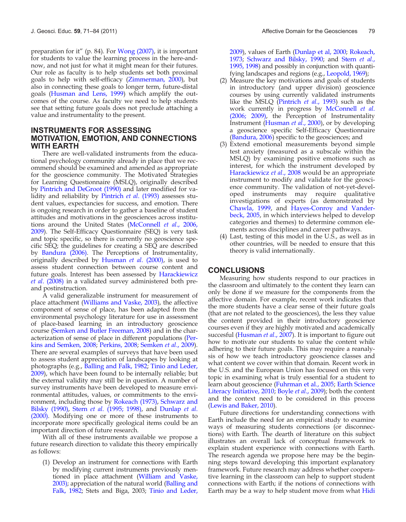preparation for it" (p. 84). For [Wong \(2007\),](#page-13-0) it is important for students to value the learning process in the here-andnow, and not just for what it might mean for their futures. Our role as faculty is to help students set both proximal goals to help with self-efficacy ([Zimmerman, 2000](#page-13-0)), but also in connecting these goals to longer term, future-distal goals [\(Husman and Lens, 1999\)](#page-10-0) which amplify the outcomes of the course. As faculty we need to help students see that setting future goals does not preclude attaching a value and instrumentality to the present.

## INSTRUMENTS FOR ASSESSING MOTIVATION, EMOTION, AND CONNECTIONS WITH EARTH

There are well-validated instruments from the educational psychology community already in place that we recommend should be examined and amended as appropriate for the geoscience community. The Motivated Strategies for Learning Questionnaire (MSLQ), originally described by [Pintrich and DeGroot \(1990\)](#page-11-0) and later modified for va-lidity and reliability by [Pintrich](#page-11-0) et al. (1993) assesses student values, expectancies for success, and emotion. There is ongoing research in order to gather a baseline of student attitudes and motivations in the geosciences across institutions around the United States (McConnell et al., 2006, 2009). The Self-Efficacy Questionnaire (SEQ) is very task and topic specific, so there is currently no geoscience specific SEQ; the guidelines for creating a SEQ are described by [Bandura \(2006\).](#page-9-0) The Perceptions of Instrumentality, originally described by [Husman](#page-10-0) et al. (2000), is used to assess student connection between course content and future goals. Interest has been assessed by [Harackiewicz](#page-10-0) et al[. \(2008\)](#page-10-0) in a validated survey administered both preand postinstruction.

A valid generalizable instrument for measurement of place attachment [\(Williams and Vaske, 2003](#page-12-0)), the affective component of sense of place, has been adapted from the environmental psychology literature for use in assessment of place-based learning in an introductory geoscience course [\(Semken and Butler Freeman, 2008\)](#page-12-0) and in the characterization of sense of place in different populations [\(Per](#page-11-0)[kins and Semken, 2008](#page-11-0); [Perkins, 2008;](#page-11-0) [Semken](#page-12-0) et al., 2009). There are several examples of surveys that have been used to assess student appreciation of landscapes by looking at photographs (e.g., [Balling and Falk, 1982](#page-9-0); [Tinio and Leder,](#page-12-0) [2009](#page-12-0)), which have been found to be internally reliable; but the external validity may still be in question. A number of survey instruments have been developed to measure environmental attitudes, values, or commitments to the environment, including those by [Rokeach \(1973\),](#page-11-0) [Schwarz and](#page-12-0) [Bilsky \(1990\),](#page-12-0) Stern et al. (1995; 1998), and [Dunlap](#page-10-0) et al. [\(2000\)](#page-10-0). Modifying one or more of these instruments to incorporate more specifically geological items could be an important direction of future research.

With all of these instruments available we propose a future research direction to validate this theory empirically as follows:

(1) Develop an instrument for connections with Earth by modifying current instruments previously mentioned in place attachment [\(William and Vaske,](#page-12-0) [2003\)](#page-12-0); appreciation of the natural world ([Balling and](#page-9-0) [Falk, 1982;](#page-9-0) Stets and Biga, 2003; [Tinio and Leder,](#page-12-0)

[2009](#page-12-0)), values of Earth [\(Dunlap et al, 2000](#page-10-0); [Rokeach,](#page-11-0) [1973](#page-11-0); [Schwarz and Bilsky, 1990](#page-12-0); and Stern et al., 1995, 1998) and possibly in conjunction with quantifying landscapes and regions (e.g., [Leopold, 1969](#page-11-0));

- (2) Measure the key motivations and goals of students in introductory (and upper division) geoscience courses by using currently validated instruments like the MSLQ ([Pintrich](#page-11-0) *et al.*, 1993) such as the work currently in progress by McConnell *et al.* (2006; 2009), the Perception of Instrumentality Instrument ([Husman](#page-10-0) et al., 2000), or by developing a geoscience specific Self-Efficacy Questionnaire ([Bandura, 2006\)](#page-9-0) specific to the geosciences; and
- (3) Extend emotional measurements beyond simple test anxiety (measured as a subscale within the MSLQ) by examining positive emotions such as interest, for which the instrument developed by [Harackiewicz](#page-10-0) et al., 2008 would be an appropriate instrument to modify and validate for the geoscience community. The validation of not-yet-developed instruments may require qualitative investigations of experts (as demonstrated by [Chawla, 1999](#page-9-0), and [Hayes-Conroy and Vander](#page-10-0)[beck, 2005](#page-10-0), in which interviews helped to develop categories and themes) to determine common elements across disciplines and career pathways.
- (4) Last, testing of this model in the U.S., as well as in other countries, will be needed to ensure that this theory is valid internationally.

## **CONCLUSIONS**

Measuring how students respond to our practices in the classroom and ultimately to the content they learn can only be done if we measure for the components from the affective domain. For example, recent work indicates that the more students have a clear sense of their future goals (that are not related to the geosciences), the less they value the content provided in their introductory geoscience courses even if they are highly motivated and academically succesful ([Husman](#page-10-0) *et al.,* 2007). It is important to figure out how to motivate our students to value the content while adhering to their future goals. This may require a reanalysis of how we teach introductory geoscience classes and what content we cover within that domain. Recent work in the U.S. and the European Union has focused on this very topic in examining what is truly essential for a student to learn about geoscience [\(Fuhrman et al., 2005](#page-10-0); [Earth Science](#page-10-0) [Literacy Initiative, 2010;](#page-10-0) Boyle et al[., 2009](#page-9-0)); both the content and the context need to be considered in this process [\(Lewis and Baker, 2010](#page-11-0)).

Future directions for understanding connections with Earth include the need for an empirical study to examine ways of measuring students connections (or disconnections) with Earth. The dearth of literature on this subject illustrates an overall lack of conceptual framework to explain student experience with connections with Earth. The research agenda we propose here may be the beginning steps toward developing this important explanatory framework. Future research may address whether cooperative learning in the classroom can help to support student connections with Earth; if the notions of connections with Earth may be a way to help student move from what [Hidi](#page-10-0)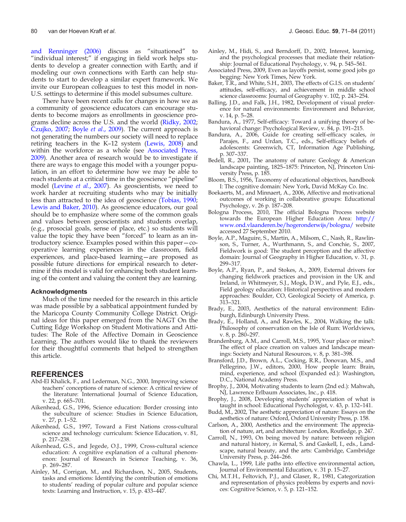<span id="page-9-0"></span>[and Renninger \(2006\)](#page-10-0) discuss as "situationed" to "individual interest;" if engaging in field work helps students to develop a greater connection with Earth; and if modeling our own connections with Earth can help students to start to develop a similar expert framework. We invite our European colleagues to test this model in non-U.S. settings to determine if this model subsumes culture.

There have been recent calls for changes in how we as a community of geoscience educators can encourage students to become majors as enrollments in geoscience pro-grams decline across the U.S. and the world [\(Ridky, 2002](#page-11-0); [Czujko, 2007;](#page-10-0) Boyle et al., 2009). The current approach is not generating the numbers our society will need to replace retiring teachers in the K–12 system [\(Lewis, 2008](#page-11-0)) and within the workforce as a whole (see Associated Press, 2009). Another area of research would be to investigate if there are ways to engage this model with a younger population, in an effort to determine how we may be able to reach students at a critical time in the geoscience "pipeline" model (Levine et al[., 2007](#page-11-0)). As geoscientists, we need to work harder at recruiting students who may be initially less than attracted to the idea of geoscience ([Tobias, 1990](#page-12-0); [Lewis and Baker, 2010\)](#page-11-0). As geoscience educators, our goal should be to emphasize where some of the common goals and values between geoscientists and students overlap, (e.g., prosocial goals, sense of place, etc.) so students will value the topic they have been "forced" to learn as an introductory science. Examples posed within this paper—cooperative learning experiences in the classroom, field experiences, and place-based learning—are proposed as possible future directions for empirical research to determine if this model is valid for enhancing both student learning of the content and valuing the content they are learning.

#### Acknowledgments

Much of the time needed for the research in this article was made possible by a sabbatical appointment funded by the Maricopa County Community College District. Original ideas for this paper emerged from the NAGT On the Cutting Edge Workshop on Student Motivations and Attitudes: The Role of the Affective Domain in Geoscience Learning. The authors would like to thank the reviewers for their thoughtful comments that helped to strengthen this article.

## REFERENCES

- Abd-El Khalick, F., and Lederman, N.G., 2000, Improving science teachers' conceptions of nature of science: A critical review of the literature: International Journal of Science Education, v. 22, p. 665–701.
- Aikenhead, G.S., 1996, Science education: Border crossing into the subculture of science: Studies in Science Education, v. 27, p. 1–52.
- Aikenhead, G.S., 1997, Toward a First Nations cross-cultural science and technology curriculum: Science Education, v. 81, p. 217–238.
- Aikenhead, G.S., and Jegede, O.J., 1999, Cross-cultural science education: A cognitive explanation of a cultural phenomenon: Journal of Research in Science Teaching, v. 36, p. 269–287.
- Ainley, M., Corrigan, M., and Richardson, N., 2005, Students, tasks and emotions: Identifying the contribution of emotions to students' reading of popular culture and popular science texts: Learning and Instruction, v. 15, p. 433–447.
- Ainley, M., Hidi, S., and Berndorff, D., 2002, Interest, learning, and the psychological processes that mediate their relationship: Journal of Educational Psychology, v. 94, p. 545–561.
- Associated Press, 2009, Even as layoffs persist, some good jobs go begging: New York Times, New York.
- Baker, T.R., and White, S.H., 2003, The effects of G.I.S. on students' attitudes, self-efficacy, and achievement in middle school science classrooms: Journal of Geography v. 102, p. 243–254.
- Balling, J.D., and Falk, J.H., 1982, Development of visual preference for natural environments: Environment and Behavior, v. 14, p. 5–28.
- Bandura, A., 1977, Self-efficacy: Toward a unifying theory of behavioral change: Psychological Review, v. 84, p. 191–215.
- Bandura, A., 2006, Guide for creating self-efficacy scales, in Parajes, F., and Urdan, T.C., eds., Self-efficacy beliefs of adolescents: Greenwich, CT, Information Age Publishing, p. 307–337.
- Bedell, R., 2001, The anatomy of nature: Geology & American landscape painting, 1825–1875: Princeton, NJ, Princeton University Press, p. 185.
- Bloom, B.S., 1956, Taxonomy of educational objectives, handbook I: The cognitive domain: New York, David McKay Co. Inc.
- Boekaerts, M., and Minnaert, A., 2006, Affective and motivational outcomes of working in collaborative groups: Educational Psychology, v. 26 p. 187–208.
- Bologna Process, 2010, The official Bologna Process website towards the European Higher Education Area: [http://](http://www.ond.vlaanderen.be/hogeronderwijs/bologna/) [www.ond.vlaanderen.be/hogeronderwijs/bologna/](http://www.ond.vlaanderen.be/hogeronderwijs/bologna/) website accessed 27 September 2010.
- Boyle, A.P., Maguire, S., Martin, A., Milsom, C., Nash, R., Rawlinson, S., Turner, A., Wurthmann, S., and Conchie, S., 2007, Fieldwork is good: The student perception and the affective domain: Journal of Geography in Higher Education, v. 31, p. 299–317.
- Boyle, A.P., Ryan, P., and Stokes, A., 2009, External drivers for changing fieldwork practices and provision in the UK and Ireland, in Whitmeyer, S.J., Mogk, D.W., and Pyle, E.J., eds., Field geology education: Historical perspectives and modern approaches: Boulder, CO, Geological Society of America, p. 313–321.
- Brady, E., 2003, Aesthetics of the natural environment: Edinburgh, Edinburgh University Press.
- Brady, E., Holland, A., and Rawles, K., 2004, Walking the talk: Philosophy of conservation on the Isle of Rum: Worldviews, v. 8, p. 280–297.
- Brandenburg, A.M., and Carroll, M.S., 1995, Your place or mine?: The effect of place creation on values and landscape meanings: Society and Natural Resources, v. 8, p. 381–398.
- Bransford, J.D., Brown, A.L., Cocking, R.R., Donovan, M.S., and Pellegrino, J.W., editors, 2000, How people learn: Brain, mind, experience, and school (Expanded ed.): Washington, D.C., National Academy Press.
- Brophy, J., 2004, Motivating students to learn (2nd ed.): Mahwah, NJ, Lawrence Erlbaum Associates, Inc., p. 418.
- Brophy, J., 2008, Developing students' appreciation of what is taught in school: Educational Psychologist, v. 43, p. 132–141.
- Budd, M., 2002, The aesthetic appreciation of nature: Essays on the aesthetics of nature: Oxford, Oxford University Press, p. 158.
- Carlson, A., 2000, Aesthetics and the environment: The appreciation of nature, art, and architecture: London, Routledge, p. 247.
- Carroll, N., 1993, On being moved by nature: between religion and natural history, in Kernal, S. and Gaskell, I., eds., Landscape, natural beauty, and the arts: Cambridge, Cambridge University Press, p. 244–266.
- Chawla, L., 1999, Life paths into effective environmental action, Journal of Environmental Education, v. 31 p. 15–27.
- Chi, M.T.H., Feltovich, P.J., and Glaser, R., 1981, Categorization and representation of physics problems by experts and novices: Cognitive Science, v. 5, p. 121–152.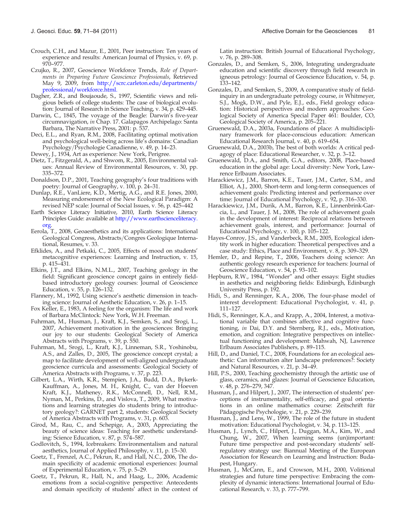- <span id="page-10-0"></span>Crouch, C.H., and Mazur, E., 2001, Peer instruction: Ten years of experience and results: American Journal of Physics, v. 69, p. 970–977.
- Czujko, R., 2007, Geoscience Workforce Trends, Role of Departments in Preparing Future Geoscience Professionals, Retrieved May 9, 2009, from [http://scrc.carleton.edu/departments/](http://scrc.carleton.edu/departments/professional/workforce.html.) [professional/workforce.html.](http://scrc.carleton.edu/departments/professional/workforce.html.)
- Dagher, Z.R., and Boujaoude, S., 1997, Scientific views and religious beliefs of college students: The case of biological evolution: Journal of Research in Science Teaching, v. 34, p. 429–445.
- Darwin, C., 1845, The voyage of the Beagle: Darwin's five-year circumnavigation, in Chap. 17. Galapagos Archipelago: Santa Barbara, The Narrative Press, 2001: p. 537.
- Deci, E.L., and Ryan, R.M., 2008, Facilitating optimal motivation and psychological well-being across life's domains: Canadian Psychology/Psychologie Canadienne, v. 49, p. 14–23.
- Dewey, J., 1934, Art as experience: New York, Perigree.
- Dietz, T., Fitzgerald, A., and Shwom, R., 2005, Environmental values: Annual Review of Environmental Resources, v. 30, pp. 335–372.
- Donaldson, D.P., 2001, Teaching geography's four traditions with poetry: Journal of Geography, v. 100, p. 24–31.
- Dunlap, R.E., VanLiere, K.D., Mertig, A.G., and R.E. Jones, 2000, Measuring endorsement of the New Ecological Paradigm: A revised NEP scale: Journal of Social Issues, v. 56, p. 425–442
- Earth Science Literacy Initiative, 2010, Earth Science Literacy Principles Guide: available at [http://www.earthscienceliteracy.](http://www.earthscienceliteracy.org) [org.](http://www.earthscienceliteracy.org)
- Eerola, T., 2008, Geoaesthetics and its applications: International Geological Congress, Abstracts/Congres Geologique International, Resumes, v. 33.
- Efklides, A., and Petkaki, C., 2005, Effects of mood on students' metacognitive experiences: Learning and Instruction, v. 15, p. 415–431.
- Elkins, J.T., and Elkins, N.M.L., 2007, Teaching geology in the field: Significant geoscience concept gains in entirely fieldbased introductory geology courses: Journal of Geoscience Education, v. 55, p. 126–132.
- Flannery, M., 1992, Using science's aesthetic dimension in teaching science: Journal of Aesthetic Education, v. 26, p. 1–15.
- Fox Keller, E., 1983, A feeling for the organism: The life and work of Barbara McClintock: New York, W.H. Freeman.
- Fuhrman, M., Husman, J., Kraft, K.J., Semken, S., and Srogi, L., 2007, Achievement motivation in the geosciences: Bringing our joy to our students: Geological Society of America Abstracts with Programs, v. 39, p. 550.
- Fuhrman, M., Srogi, L., Kraft, K.J., Linneman, S.R., Yoshinobu, A.S., and Zalles, D., 2005, The geoscience concept crystal; a map to facilitate development of well-aligned undergraduate geoscience curricula and assessments: Geological Society of America Abstracts with Programs, v. 37, p. 223.
- Gilbert, L.A., Wirth, K.R., Stempien, J.A., Budd, D.A., Bykerk-Kauffman, A., Jones, M. H., Knight, C., van der Hoeven Kraft, K.J., Matheney, R.K., McConnell, D., Nell, R.M., Nyman, M., Perkins, D., and Vislova, T., 2009, What motivations and learning strategies do students bring to introductory geology?: GARNET part 2, students: Geological Society of America Abstracts with Programs, v. 31, p. 603.
- Girod, M., Rau, C., and Schepige, A., 2003, Appreciating the beauty of science ideas: Teaching for aesthetic understanding: Science Education, v. 87, p. 574–587.
- Godlovitch, S., 1994, Icebreakers: Environmentalism and natural aesthetics, Journal of Applied Philosophy, v. 11, p. 15–30.
- Goetz, T., Frenzel, A.C., Pekrun, R., and Hall, N.C., 2006, The domain specificity of academic emotional experiences: Journal of Experimental Education, v. 75, p. 5–29.
- Goetz, T., Pekrun, R., Hall, N., and Haag, L., 2006, Academic emotions from a social-cognitive perspective: Antecedents and domain specificity of students' affect in the context of

Latin instruction: British Journal of Educational Psychology, v. 76, p. 289–308.

- Gonzales, D., and Semken, S., 2006, Integrating undergraduate education and scientific discovery through field research in igneous petrology: Journal of Geoscience Education, v. 54, p. 133–142.
- Gonzales, D., and Semken, S., 2009, A comparative study of fieldinquiry in an undergraduate petrology course, in Whitmeyer, S.J., Mogk, D.W., and Pyle, E.J., eds., Field geology education: Historical perspectives and modern approaches: Geological Society of America Special Paper 461: Boulder, CO, Geological Society of America, p. 205–221.
- Gruenewald, D.A., 2003a, Foundations of place: A multidisciplinary framework for place-conscious education: American Educational Research Journal, v. 40, p. 619–654.
- Gruenewald, D.A., 2003b, The best of both worlds: A critical pedagogy of place: Educational Researcher, v. 32, p. 3–12.
- Gruenewald, D.A., and Smith, G.A., editors, 2008, Place-based education in the global age: Local diversity: New York, Lawrence Erlbaum Associates.
- Harackiewicz, J.M., Barron, K.E., Tauer, J.M., Carter, S.M., and Elliot, A.J., 2000, Short-term and long-term consequences of achievement goals: Predicting interest and performance over time: Journal of Educational Psychology, v. 92, p. 316–330.
- Harackiewicz, J.M., Durik, A.M., Barron, K.E., Linnenbrink-Garcia, L., and Tauer, J. M., 2008, The role of achievement goals in the development of interest: Reciprocal relations between achievement goals, interest, and performance: Journal of Educational Psychology, v. 100, p. 105–122.
- Hayes-Conroy, J.S., and Vanderbeck, R.M., 2005, Ecological identity work in higher education: Theoretical perspectives and a case study: Ethics, Place and Environment, v. 8, p. 309–329.
- Hemler, D., and Repine, T., 2006, Teachers doing science: An authentic geology research experience for teachers: Journal of Geoscience Education, v. 54, p. 93–102.
- Hepburn, R.W., 1984, "Wonder" and other essays: Eight studies in aesthetics and neighboring fields: Edinburgh, Edinburgh University Press, p. 192.
- Hidi, S., and Renninger, K.A., 2006, The four-phase model of interest development: Educational Psychologist, v. 41, p. 111–127.
- Hidi, S., Renninger, K.A., and Krapp, A., 2004, Interest, a motivational variable that combines affective and cognitive functioning, in Dai, D.Y. and Sternberg, R.J., eds., Motivation, emotion, and cognition: Integrative perspectives on intellectual functioning and development: Mahwah, NJ, Lawrence Erlbaum Associates Publishers, p. 89–115.
- Hill, D., and Daniel, T.C., 2008, Foundations for an ecological aesthetic: Can information alter landscape preferences?: Society and Natural Resources, v. 21, p. 34–49.
- Hill, P.S., 2000, Teaching geochemistry through the artistic use of glass, ceramics, and glazes: Journal of Geoscience Education, v. 48, p. 276–279, 347.
- Husman, J., and Hilpert, J., 2007, The intersection of students' perceptions of instrumentality, self-efficacy, and goal orientations in an online mathematics course: Zeitschrift für Pädagogische Psychologie, v. 21, p. 229-239.
- Husman, J., and Lens, W., 1999, The role of the future in student motivation: Educational Psychologist, v. 34, p. 113–125.
- Husman, J., Lynch, C., Hilpert, J., Duggan, M.A., Kim, W., and Chung, W., 2007, When learning seems (un)important: Future time perspective and post-secondary students' selfregulatory strategy use: Biannual Meeting of the European Association for Research on Learning and Instruction: Budapest, Hungary.
- Husman, J., McCann, E., and Crowson, M.H., 2000, Volitional strategies and future time perspective: Embracing the complexity of dynamic interactions: International Journal of Educational Research, v. 33, p. 777–799.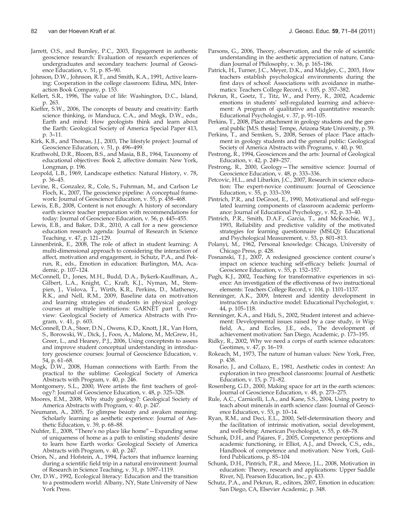- <span id="page-11-0"></span>Jarrett, O.S., and Burnley, P.C., 2003, Engagement in authentic geoscience research: Evaluation of research experiences of undergraduates and secondary teachers: Journal of Geoscience Education, v. 51, p. 85–90.
- Johnson, D.W., Johnson, R.T., and Smith, K.A., 1991, Active learning: Cooperation in the college classroom: Edina, MN, Interaction Book Company, p. 153.
- Kellert, S.R., 1996, The value of life: Washington, D.C., Island, p. 263.
- Kieffer, S.W., 2006, The concepts of beauty and creativity: Earth science thinking, in Manduca, C.A., and Mogk, D.W., eds., Earth and mind: How geologists think and learn about the Earth: Geological Society of America Special Paper 413, p. 3–11.
- Kirk, K.B., and Thomas, J.J., 2003, The lifestyle project: Journal of Geoscience Education, v. 51, p. 496–499.
- Krathwohl, D.R., Bloom, B.S., and Masia, B.B., 1964, Taxonomy of educational objectives: Book 2, affective domain: New York, Longman, p. 196.
- Leopold, L.B., 1969, Landscape esthetics: Natural History, v. 78, p. 36–45.
- Levine, R., Gonzalez, R., Cole, S., Fuhrman, M., and Carlson Le Floch, K., 2007, The geoscience pipeline: A conceptual framework: Journal of Geoscience Education, v. 55, p. 458–468.
- Lewis, E.B., 2008, Content is not enough: A history of secondary earth science teacher preparation with recommendations for today: Journal of Geoscience Education, v. 56, p. 445–455.
- Lewis, E.B., and Baker, D.R., 2010, A call for a new geoscience education research agenda: Journal of Research in Science Teaching, v. 47, p. 121–129.
- Linnenbrink, E., 2008, The role of affect in student learning: A multi-dimensional approach to considering the interaction of affect, motivation and engagement, in Schutz, P.A., and Pekrun, R., eds., Emotion in education: Burlington, MA, Academic, p. 107–124.
- McConnell, D., Jones, M.H., Budd, D.A., Bykerk-Kauffman, A., Gilbert, L.A., Knight, C., Kraft, K.J., Nyman, M., Stempien, J., Vislova, T., Wirth, K.R., Perkins, D., Matheney, R.K., and Nell, R.M., 2009, Baseline data on motivation and learning strategies of students in physical geology courses at multiple institutions: GARNET part 1, overview: Geological Society of America Abstracts with Program, v. 41, p. 603.
- McConnell, D.A., Steer, D.N., Owens, K.D., Knott, J.R., Van Horn, S., Borowski, W., Dick, J., Foos, A., Malone, M., McGrew, H., Greer, L., and Heaney, P.J., 2006, Using conceptests to assess and improve student conceptual understanding in introductory geoscience courses: Journal of Geoscience Education, v. 54, p. 61–68.
- Mogk, D.W., 2008, Human connections with Earth: From the practical to the sublime: Geological Society of America Abstracts with Program, v. 40, p. 246.
- Montgomery, S.L., 2000, Were artists the first teachers of geology?: Journal of Geoscience Education, v. 48, p. 325–328.
- Moores, E.M., 2008, Why study geology?: Geological Society of America Abstracts with Program, v. 40, p. 247.
- Neumann, A., 2005, To glimpse beauty and awaken meaning: Scholarly learning as aesthetic experience: Journal of Aesthetic Education, v. 39, p. 68–88.
- Nuhfer, E., 2008, "There's no place like home"—Expanding sense of uniqueness of home as a path to enlisting students' desire to learn how Earth works: Geological Society of America Abstracts with Program, v. 40, p. 247.
- Orion, N., and Hofstein, A., 1994, Factors that influence learning during a scientific field trip in a natural environment: Journal of Research in Science Teaching, v. 31, p. 1097–1119.
- Orr, D.W., 1992, Ecological literacy: Education and the transition to a postmodern world: Albany, NY, State University of New York Press.
- Parsons, G., 2006, Theory, observation, and the role of scientific understanding in the aesthetic appreciation of nature, Canadian Journal of Philosophy, v. 36, p. 165–186.
- Patrick, H., Turner, J.C., Meyer, D.K., and Midgley, C., 2003, How teachers establish psychological environments during the first days of school: Associations with avoidance in mathematics: Teachers College Record, v. 105, p. 357–382.
- Pekrun, R., Goetz, T., Titz, W., and Perry, R., 2002, Academic emotions in students' self-regulated learning and achievement: A program of qualitative and quantitative research: Educational Psychologist, v. 37, p. 91–105.
- Perkins, T., 2008, Place attachment in geology students and the general public [M.S. thesis]: Tempe, Arizona State University, p. 59.
- Perkins, T., and Semken, S., 2008, Senses of place: Place attachment in geology students and the general public: Geological Society of America Abstracts with Programs, v. 40, p. 90.
- Pestrong, R., 1994, Geosciences and the arts: Journal of Geological Education, v. 42, p. 249–257.
- Pestrong, R., 2000, Geology—The sensitive science: Journal of Geoscience Education, v. 48, p. 333–336.
- Petcovic, H.L., and Libarkin, J.C., 2007, Research in science education: The expert-novice continuum: Journal of Geoscience Education, v. 55, p. 333–339.
- Pintrich, P.R., and DeGroot, E., 1990, Motivational and self-regulated learning components of classroom academic performance: Journal of Educational Psychology, v. 82, p. 33–40.
- Pintrich, P.R., Smith, D.A.F., Garcia, T., and McKeachie, W.J., 1993, Reliability and predictive validity of the motivated strategies for learning questionnaire (MSLQ): Educational and Psychological Measurement, v. 53, p. 801–813.
- Polanyi, M., 1962, Personal knowledge: Chicago, University of Chicago Press, p. 428.
- Posnanski, T.J., 2007, A redesigned geoscience content course's impact on science teaching self-efficacy beliefs: Journal of Geoscience Education, v. 55, p. 152–157.
- Pugh, K.J., 2002, Teaching for transformative experiences in science: An investigation of the effectiveness of two instructional elements: Teachers College Record, v. 104, p. 1101–1137.
- Renninger, A.K., 2009, Interest and identity development in instruction: An inductive model: Educational Psychologist, v. 44, p. 105–118.
- Renninger, K.A., and Hidi, S., 2002, Student interest and achievement: Developmental issues raised by a case study, in Wigfield, A., and Eccles, J.E., eds., The development of achievement motivation: San Diego, Academic, p. 173–195.
- Ridky, R., 2002, Why we need a corps of earth science educators: Geotimes, v. 47, p. 16–19.
- Rokeach, M., 1973, The nature of human values: New York, Free, p. 438.
- Rosario, J., and Collazo, E., 1981, Aesthetic codes in context: An exploration in two preschool classrooms: Journal of Aesthetic Education, v. 15, p. 71–82.
- Rosenberg, G.D., 2000, Making space for art in the earth sciences: Journal of Geoscience Education, v. 48, p. 273–275.
- Rule, A.C., Carnicelli, L.A., and Kane, S.S., 2004, Using poetry to teach about minerals in earth science class: Journal of Geoscience Education, v. 53, p. 10–14.
- Ryan, R.M., and Deci, E.L., 2000, Self-determination theory and the facilitation of intrinsic motivation, social development, and well-being: American Psychologist, v. 55, p. 68–78.
- Schunk, D.H., and Pajares, F., 2005, Competence perceptions and academic functioning, in Elliot, A.J., and Dweck, C.S., eds., Handbook of competence and motivation: New York, Guilford Publications, p. 85–104
- Schunk, D.H., Pintrich, P.R., and Meece, J.L., 2008, Motivation in education: Theory, research and applications: Upper Saddle River, NJ, Pearson Education, Inc., p. 433.
- Schutz, P.A., and Pekrun, R., editors, 2007, Emotion in education: San Diego, CA, Elsevier Academic, p. 348.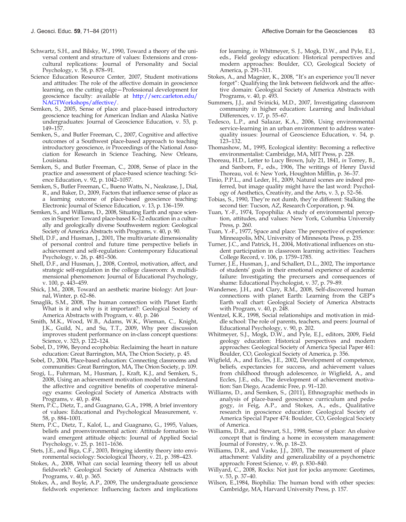- <span id="page-12-0"></span>Schwartz, S.H., and Bilsky, W., 1990, Toward a theory of the universal content and structure of values: Extensions and crosscultural replications: Journal of Personality and Social Psychology, v. 58, p. 878–91.
- Science Education Resource Center, 2007, Student motivations and attitudes: The role of the affective domain in geoscience learning, on the cutting edge—Professional development for geoscience faculty: available at [http://serc.carleton.edu/](http://serc.carleton.edu/NAGTWorkshops/affective/) [NAGTWorkshops/affective/.](http://serc.carleton.edu/NAGTWorkshops/affective/)
- Semken, S., 2005, Sense of place and place-based introductory geoscience teaching for American Indian and Alaska Native undergraduates: Journal of Geoscience Education, v. 53, p. 149–157.
- Semken, S., and Butler Freeman, C., 2007, Cognitive and affective outcomes of a Southwest place-based approach to teaching introductory geoscience, in Proceedings of the National Association for Research in Science Teaching, New Orleans, Louisiana.
- Semken, S., and Butler Freeman, C., 2008, Sense of place in the practice and assessment of place-based science teaching: Science Education, v. 92, p. 1042–1057.
- Semken, S., Butler Freeman, C., Bueno Watts, N., Neakrase, J., Dial, R., and Baker, D., 2009, Factors that influence sense of place as a learning outcome of place-based geoscience teaching: Electronic Journal of Science Education, v. 13, p. 136–159.
- Semken, S., and Williams, D., 2008, Situating Earth and space sciences in Superior: Toward place-based K–12 education in a culturally and geologically diverse Southwestern region: Geological Society of America Abstracts with Programs, v. 40, p. 90.
- Shell, D.F., and Husman, J., 2001, The multivariate dimensionality of personal control and future time perspective beliefs in achievement and self-regulation: Contemporary Educational Psychology, v. 26, p. 481–506.
- Shell, D.F., and Husman, J., 2008, Control, motivation, affect, and strategic self-regulation in the college classroom: A multidimensional phenomenon: Journal of Educational Psychology, v. 100, p. 443–459.
- Shick, J.M., 2008, Toward an aesthetic marine biology: Art Journal, Winter, p. 62–86.
- Smaglik, S.M., 2008, The human connection with Planet Earth: What is it and why is it important?: Geological Society of America Abstracts with Program, v. 40, p. 246
- Smith, M.K., Wood, W.B., Adams, W.K., Wieman, C., Knight, J.K., Guild, N., and Su, T.T., 2009, Why peer discussion improves student performance on in-class concept questions: Science, v. 323, p. 122–124.
- Sobel, D., 1996, Beyond ecophobia: Reclaiming the heart in nature education: Great Barrington, MA, The Orion Society, p. 45.
- Sobel, D., 2004, Place-based education: Connecting classrooms and communities: Great Barrington, MA, The Orion Society, p. 109.
- Srogi, L., Fuhrman, M., Husman, J., Kraft, K.J., and Semken, S., 2008, Using an achievement motivation model to understand the affective and cognitive benefits of cooperative mineralogy exams: Geological Society of America Abstracts with Programs, v. 40, p. 494.
- Stern, P.C., Dietz, T., and Guagnano, G.A., 1998, A brief inventory of values: Educational and Psychological Measurement, v. 58, p. 884–1001.
- Stern, P.C., Dietz, T., Kalof, L., and Guagnano, G., 1995, Values, beliefs and proenvironmental action: Attitude formation toward emergent attitude objects: Journal of Applied Social Psychology, v. 25, p. 1611–1636.
- Stets, J.E., and Biga, C.F., 2003, Bringing identity theory into environmental sociology: Sociological Theory, v. 21, p. 398–423.
- Stokes, A., 2008, What can social learning theory tell us about fieldwork?: Geological Society of America Abstracts with Programs, v. 40, p. 365.
- Stokes, A., and Boyle, A.P., 2009, The undergraduate geoscience fieldwork experience: Influencing factors and implications

for learning, in Whitmeyer, S. J., Mogk, D.W., and Pyle, E.J., eds., Field geology education: Historical perspectives and modern approaches: Boulder, CO, Geological Society of America, p. 291–311.

- Stokes, A., and Magnier, K., 2008, "It's an experience you'll never forget": Qualifying the link between fieldwork and the affective domain: Geological Society of America Abstracts with Programs, v. 40, p. 493.
- Summers, J.J., and Svinicki, M.D., 2007, Investigating classroom community in higher education: Learning and Individual Differences, v. 17, p. 55–67.
- Tedesco, L.P., and Salazar, K.A., 2006, Using environmental service-learning in an urban environment to address waterquality issues: Journal of Geoscience Education, v. 54, p. 123–132.
- Thomashow, M., 1995, Ecological identity: Becoming a reflective environmentalist: Cambridge, MA, MIT Press, p. 228.
- Thoreau, H.D., Letter to Lucy Brown, July 21, 1841, in Torrey, B., and Sanborn, F., eds., 1906, The writings of Henry David Thoreau, vol. 6: New York, Houghton Mifflin, p. 36–37.
- Tinio, P.P.L., and Leder, H., 2009, Natural scenes are indeed preferred, but image quality might have the last word: Psychology of Aesthetics, Creativity, and the Arts, v. 3, p. 52–56.
- Tobias, S., 1990, They're not dumb, they're different: Stalking the second tier: Tucson, AZ, Research Corporation, p. 94.
- Tuan, Y.-F., 1974, Topophilia: A study of environmental perception, attitudes, and values: New York, Columbia University Press, p. 260.
- Tuan, Y.-F., 1977, Space and place: The perspective of experience: Minneapolis, MN, University of Minnesota Press, p. 235.
- Turner, J.C., and Patrick, H., 2004, Motivational influences on student participation in classroom learning activities: Teachers College Record, v. 106, p. 1759–1785.
- Turner, J.E., Husman, J., and Schallert, D.L., 2002, The importance of students' goals in their emotional experience of academic failure: Investigating the precursers and consequences of shame: Educational Psychologist, v. 37, p. 79–89.
- Wandersee, J.H., and Clary, R.M., 2008, Self-discovered human connections with planet Earth: Learning from the GEP's Earth wall chart: Geological Society of America Abstracts with Program, v. 40, p. 248.
- Wentzel, K.R., 1998, Social relationships and motivation in middle school: The role of parents, teachers, and peers: Journal of Educational Psychology, v. 90, p. 202.
- Whitmeyer, S.J., Mogk, D.W., and Pyle, E.J., editors, 2009, Field geology education: Historical perspectives and modern approaches: Geological Society of America Special Paper 461: Boulder, CO, Geological Society of America, p. 356.
- Wigfield, A., and Eccles, J.E., 2002, Development of competence, beliefs, expectancies for success, and achievement values from childhood through adolescence, in Wigfield, A., and Eccles, J.E., eds., The development of achievement motivation: San Diego, Academic Free, p. 91–120.
- Williams, D., and Semken, S., (2011), Ethnographic methods in analysis of place-based geoscience curriculum and pedagogy, in Feig, A.P., and Stokes, A., eds., Qualitative research in geoscience education: Geological Society of America Special Paper 474: Boulder, CO, Geological Society of America.
- Williams, D.R., and Stewart, S.I., 1998, Sense of place: An elusive concept that is finding a home in ecosystem management: Journal of Forestry, v. 96, p. 18–23.
- Williams, D.R., and Vaske, J.J., 2003, The measurement of place attachment: Validity and generalizability of a psychometric approach: Forest Science, v. 49, p. 830–840.
- Willyard, C., 2008, Rocks: Not just for jocks anymore: Geotimes, v. 53, p. 37–40.
- Wilson, E.,1984, Biophilia: The human bond with other species: Cambridge, MA, Harvard University Press, p. 157.